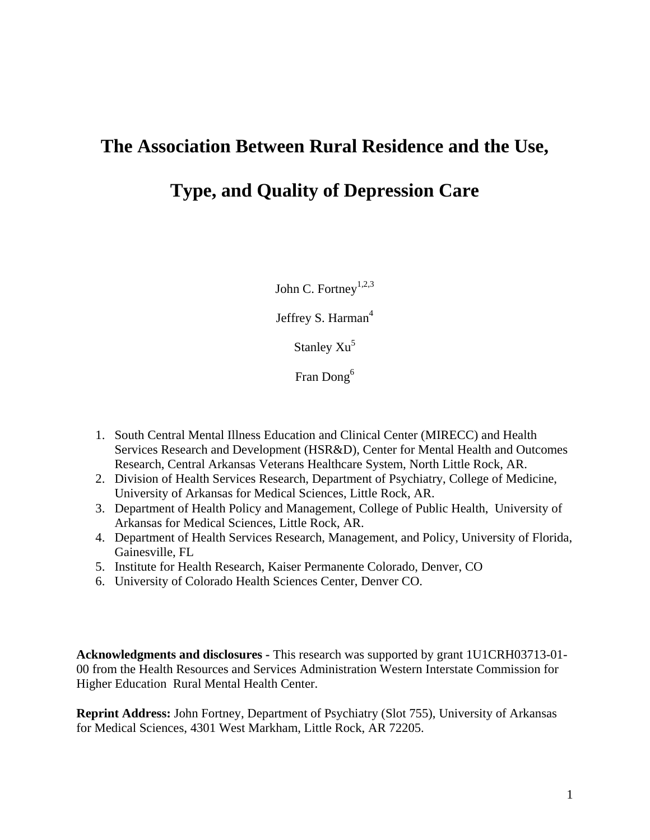# **The Association Between Rural Residence and the Use,**

**Type, and Quality of Depression Care**

John C. Fortney<sup>1,2,3</sup>

Jeffrey S. Harman<sup>4</sup>

Stanley  $Xu^5$ 

Fran Dong<sup>6</sup>

- 1. South Central Mental Illness Education and Clinical Center (MIRECC) and Health Services Research and Development (HSR&D), Center for Mental Health and Outcomes Research, Central Arkansas Veterans Healthcare System, North Little Rock, AR.
- 2. Division of Health Services Research, Department of Psychiatry, College of Medicine, University of Arkansas for Medical Sciences, Little Rock, AR.
- 3. Department of Health Policy and Management, College of Public Health, University of Arkansas for Medical Sciences, Little Rock, AR.
- 4. Department of Health Services Research, Management, and Policy, University of Florida, Gainesville, FL
- 5. Institute for Health Research, Kaiser Permanente Colorado, Denver, CO
- 6. University of Colorado Health Sciences Center, Denver CO.

**Acknowledgments and disclosures -** This research was supported by grant 1U1CRH03713-01- 00 from the Health Resources and Services Administration Western Interstate Commission for Higher Education Rural Mental Health Center.

**Reprint Address:** John Fortney, Department of Psychiatry (Slot 755), University of Arkansas for Medical Sciences, 4301 West Markham, Little Rock, AR 72205.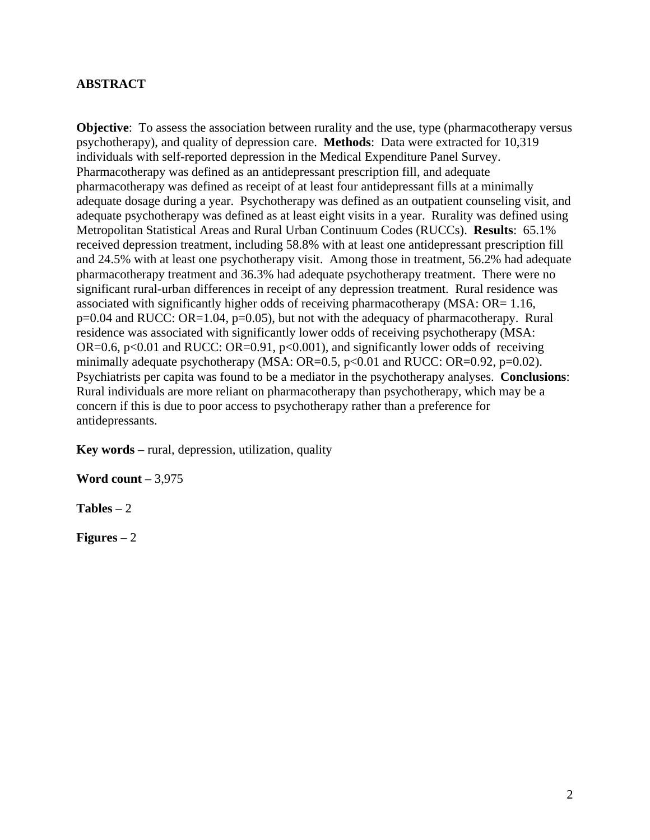# **ABSTRACT**

**Objective**: To assess the association between rurality and the use, type (pharmacotherapy versus psychotherapy), and quality of depression care. **Methods**: Data were extracted for 10,319 individuals with self-reported depression in the Medical Expenditure Panel Survey. Pharmacotherapy was defined as an antidepressant prescription fill, and adequate pharmacotherapy was defined as receipt of at least four antidepressant fills at a minimally adequate dosage during a year. Psychotherapy was defined as an outpatient counseling visit, and adequate psychotherapy was defined as at least eight visits in a year. Rurality was defined using Metropolitan Statistical Areas and Rural Urban Continuum Codes (RUCCs). **Results**: 65.1% received depression treatment, including 58.8% with at least one antidepressant prescription fill and 24.5% with at least one psychotherapy visit. Among those in treatment, 56.2% had adequate pharmacotherapy treatment and 36.3% had adequate psychotherapy treatment. There were no significant rural-urban differences in receipt of any depression treatment. Rural residence was associated with significantly higher odds of receiving pharmacotherapy (MSA: OR= 1.16, p=0.04 and RUCC: OR=1.04, p=0.05), but not with the adequacy of pharmacotherapy. Rural residence was associated with significantly lower odds of receiving psychotherapy (MSA: OR=0.6, p<0.01 and RUCC: OR=0.91, p<0.001), and significantly lower odds of receiving minimally adequate psychotherapy (MSA:  $OR=0.5$ ,  $p<0.01$  and RUCC:  $OR=0.92$ ,  $p=0.02$ ). Psychiatrists per capita was found to be a mediator in the psychotherapy analyses. **Conclusions**: Rural individuals are more reliant on pharmacotherapy than psychotherapy, which may be a concern if this is due to poor access to psychotherapy rather than a preference for antidepressants.

**Key words** – rural, depression, utilization, quality

**Word count** – 3,975

**Tables** – 2

**Figures** – 2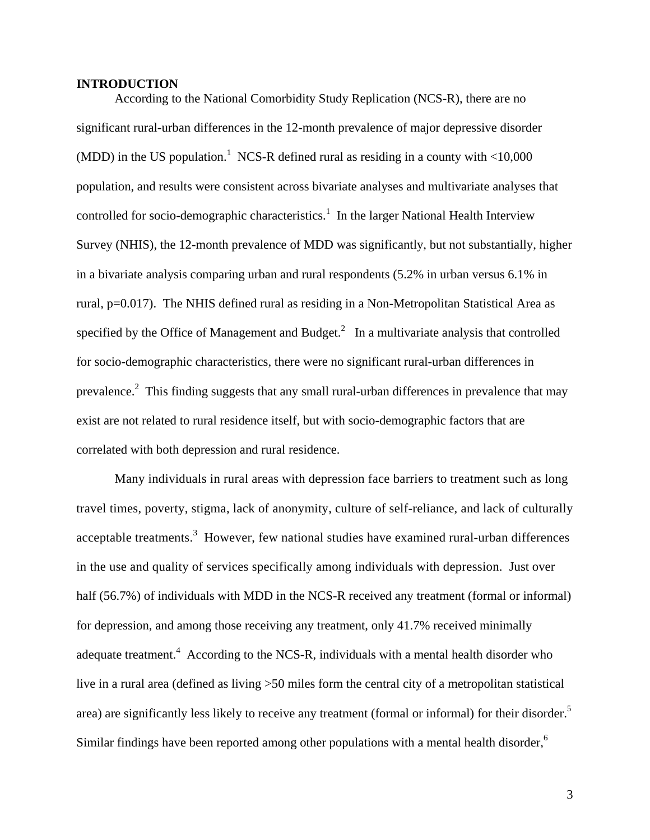## **INTRODUCTION**

According to the National Comorbidity Study Replication (NCS-R), there are no significant rural-urban differences in the 12-month prevalence of major depressive disorder (MDD) in the US population.<sup>1</sup> NCS-R defined rural as residing in a county with  $\langle 10,000 \rangle$ population, and results were consistent across bivariate analyses and multivariate analyses that controlled for socio-demographic characteristics.<sup>1</sup> In the larger National Health Interview Survey (NHIS), the 12-month prevalence of MDD was significantly, but not substantially, higher in a bivariate analysis comparing urban and rural respondents (5.2% in urban versus 6.1% in rural, p=0.017). The NHIS defined rural as residing in a Non-Metropolitan Statistical Area as specified by the Office of Management and Budget. $^2$  In a multivariate analysis that controlled for socio-demographic characteristics, there were no significant rural-urban differences in prevalence.<sup>2</sup> This finding suggests that any small rural-urban differences in prevalence that may exist are not related to rural residence itself, but with socio-demographic factors that are correlated with both depression and rural residence.

Many individuals in rural areas with depression face barriers to treatment such as long travel times, poverty, stigma, lack of anonymity, culture of self-reliance, and lack of culturally acceptable treatments.<sup>3</sup> However, few national studies have examined rural-urban differences in the use and quality of services specifically among individuals with depression. Just over half (56.7%) of individuals with MDD in the NCS-R received any treatment (formal or informal) for depression, and among those receiving any treatment, only 41.7% received minimally adequate treatment.<sup>4</sup> According to the NCS-R, individuals with a mental health disorder who live in a rural area (defined as living >50 miles form the central city of a metropolitan statistical area) are significantly less likely to receive any treatment (formal or informal) for their disorder.<sup>5</sup> Similar findings have been reported among other populations with a mental health disorder,<sup>6</sup>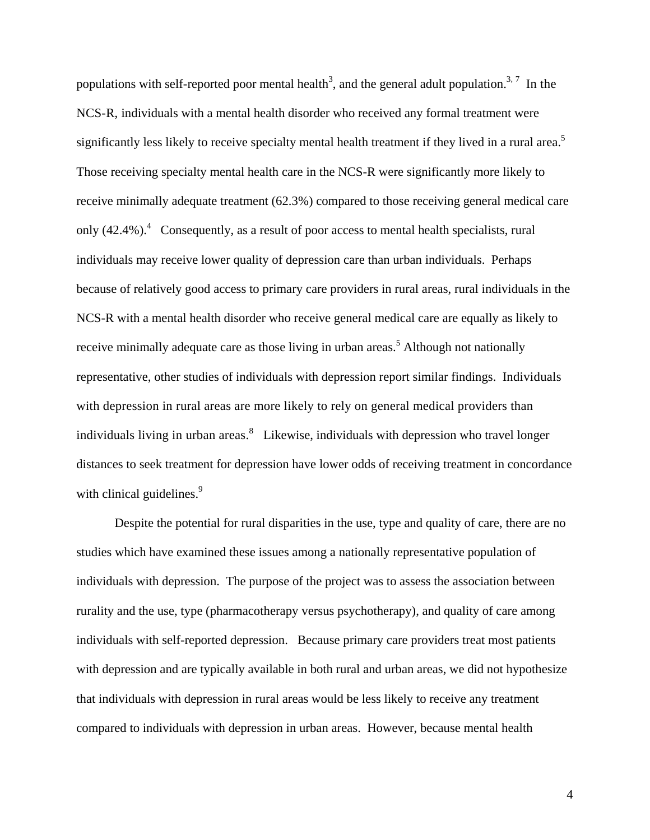populations with self-reported poor mental health<sup>3</sup>, and the general adult population.<sup>3,7</sup> In the NCS-R, individuals with a mental health disorder who received any formal treatment were significantly less likely to receive specialty mental health treatment if they lived in a rural area.<sup>5</sup> Those receiving specialty mental health care in the NCS-R were significantly more likely to receive minimally adequate treatment (62.3%) compared to those receiving general medical care only  $(42.4\%)$ . Consequently, as a result of poor access to mental health specialists, rural individuals may receive lower quality of depression care than urban individuals. Perhaps because of relatively good access to primary care providers in rural areas, rural individuals in the NCS-R with a mental health disorder who receive general medical care are equally as likely to receive minimally adequate care as those living in urban areas.<sup>5</sup> Although not nationally representative, other studies of individuals with depression report similar findings. Individuals with depression in rural areas are more likely to rely on general medical providers than individuals living in urban areas.  $\delta$  Likewise, individuals with depression who travel longer distances to seek treatment for depression have lower odds of receiving treatment in concordance with clinical guidelines.<sup>9</sup>

Despite the potential for rural disparities in the use, type and quality of care, there are no studies which have examined these issues among a nationally representative population of individuals with depression. The purpose of the project was to assess the association between rurality and the use, type (pharmacotherapy versus psychotherapy), and quality of care among individuals with self-reported depression. Because primary care providers treat most patients with depression and are typically available in both rural and urban areas, we did not hypothesize that individuals with depression in rural areas would be less likely to receive any treatment compared to individuals with depression in urban areas. However, because mental health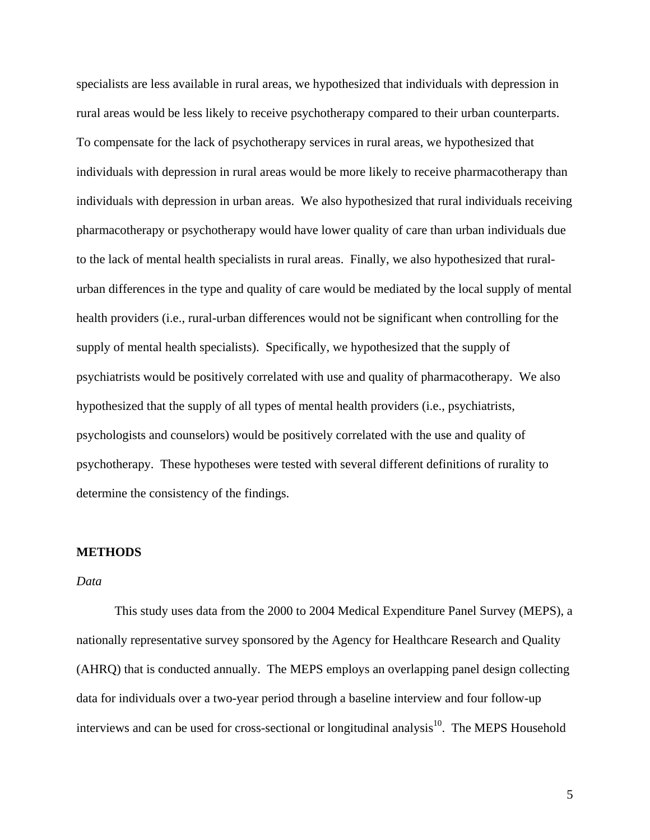specialists are less available in rural areas, we hypothesized that individuals with depression in rural areas would be less likely to receive psychotherapy compared to their urban counterparts. To compensate for the lack of psychotherapy services in rural areas, we hypothesized that individuals with depression in rural areas would be more likely to receive pharmacotherapy than individuals with depression in urban areas. We also hypothesized that rural individuals receiving pharmacotherapy or psychotherapy would have lower quality of care than urban individuals due to the lack of mental health specialists in rural areas. Finally, we also hypothesized that ruralurban differences in the type and quality of care would be mediated by the local supply of mental health providers (i.e., rural-urban differences would not be significant when controlling for the supply of mental health specialists). Specifically, we hypothesized that the supply of psychiatrists would be positively correlated with use and quality of pharmacotherapy. We also hypothesized that the supply of all types of mental health providers (i.e., psychiatrists, psychologists and counselors) would be positively correlated with the use and quality of psychotherapy. These hypotheses were tested with several different definitions of rurality to determine the consistency of the findings.

# **METHODS**

## *Data*

This study uses data from the 2000 to 2004 Medical Expenditure Panel Survey (MEPS), a nationally representative survey sponsored by the Agency for Healthcare Research and Quality (AHRQ) that is conducted annually. The MEPS employs an overlapping panel design collecting data for individuals over a two-year period through a baseline interview and four follow-up interviews and can be used for cross-sectional or longitudinal analysis $10$ . The MEPS Household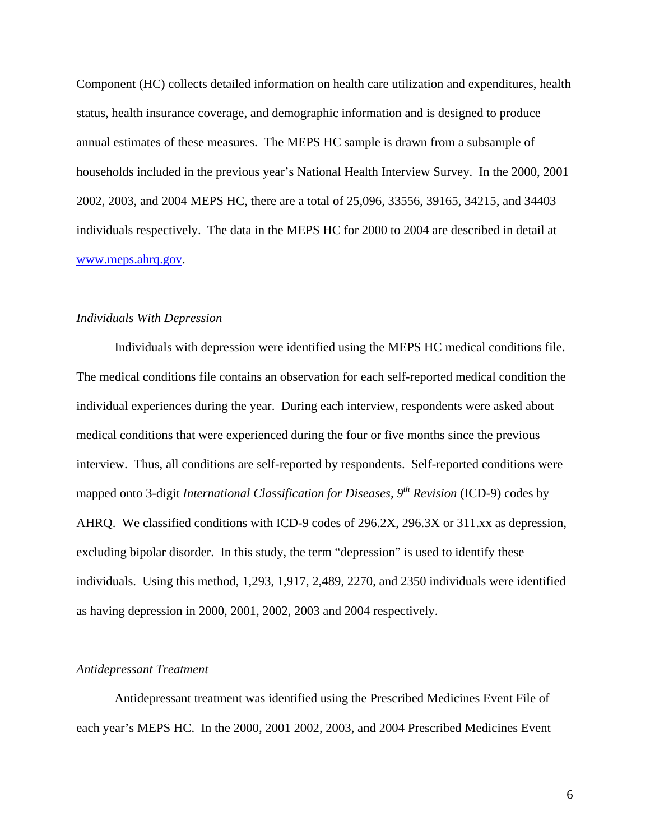Component (HC) collects detailed information on health care utilization and expenditures, health status, health insurance coverage, and demographic information and is designed to produce annual estimates of these measures. The MEPS HC sample is drawn from a subsample of households included in the previous year's National Health Interview Survey. In the 2000, 2001 2002, 2003, and 2004 MEPS HC, there are a total of 25,096, 33556, 39165, 34215, and 34403 individuals respectively. The data in the MEPS HC for 2000 to 2004 are described in detail at [www.meps.ahrq.gov.](http://www.meps.ahrq.gov/)

### *Individuals With Depression*

Individuals with depression were identified using the MEPS HC medical conditions file. The medical conditions file contains an observation for each self-reported medical condition the individual experiences during the year. During each interview, respondents were asked about medical conditions that were experienced during the four or five months since the previous interview. Thus, all conditions are self-reported by respondents. Self-reported conditions were mapped onto 3-digit *International Classification for Diseases, 9th Revision* (ICD-9) codes by AHRQ. We classified conditions with ICD-9 codes of 296.2X, 296.3X or 311.xx as depression, excluding bipolar disorder. In this study, the term "depression" is used to identify these individuals. Using this method, 1,293, 1,917, 2,489, 2270, and 2350 individuals were identified as having depression in 2000, 2001, 2002, 2003 and 2004 respectively.

#### *Antidepressant Treatment*

 Antidepressant treatment was identified using the Prescribed Medicines Event File of each year's MEPS HC. In the 2000, 2001 2002, 2003, and 2004 Prescribed Medicines Event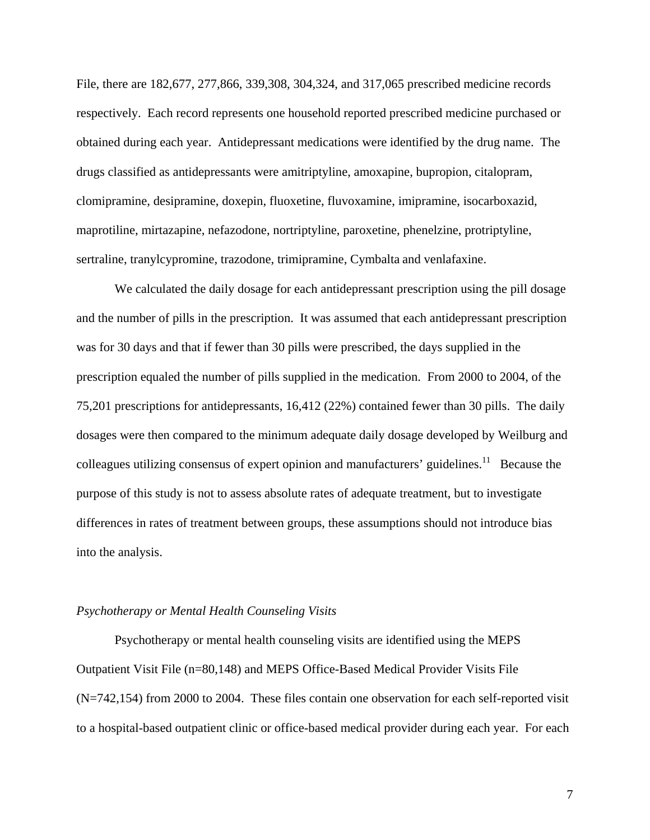File, there are 182,677, 277,866, 339,308, 304,324, and 317,065 prescribed medicine records respectively. Each record represents one household reported prescribed medicine purchased or obtained during each year. Antidepressant medications were identified by the drug name. The drugs classified as antidepressants were amitriptyline, amoxapine, bupropion, citalopram, clomipramine, desipramine, doxepin, fluoxetine, fluvoxamine, imipramine, isocarboxazid, maprotiline, mirtazapine, nefazodone, nortriptyline, paroxetine, phenelzine, protriptyline, sertraline, tranylcypromine, trazodone, trimipramine, Cymbalta and venlafaxine.

 We calculated the daily dosage for each antidepressant prescription using the pill dosage and the number of pills in the prescription. It was assumed that each antidepressant prescription was for 30 days and that if fewer than 30 pills were prescribed, the days supplied in the prescription equaled the number of pills supplied in the medication. From 2000 to 2004, of the 75,201 prescriptions for antidepressants, 16,412 (22%) contained fewer than 30 pills. The daily dosages were then compared to the minimum adequate daily dosage developed by Weilburg and colleagues utilizing consensus of expert opinion and manufacturers' guidelines.<sup>11</sup> Because the purpose of this study is not to assess absolute rates of adequate treatment, but to investigate differences in rates of treatment between groups, these assumptions should not introduce bias into the analysis.

#### *Psychotherapy or Mental Health Counseling Visits*

 Psychotherapy or mental health counseling visits are identified using the MEPS Outpatient Visit File (n=80,148) and MEPS Office-Based Medical Provider Visits File (N=742,154) from 2000 to 2004. These files contain one observation for each self-reported visit to a hospital-based outpatient clinic or office-based medical provider during each year. For each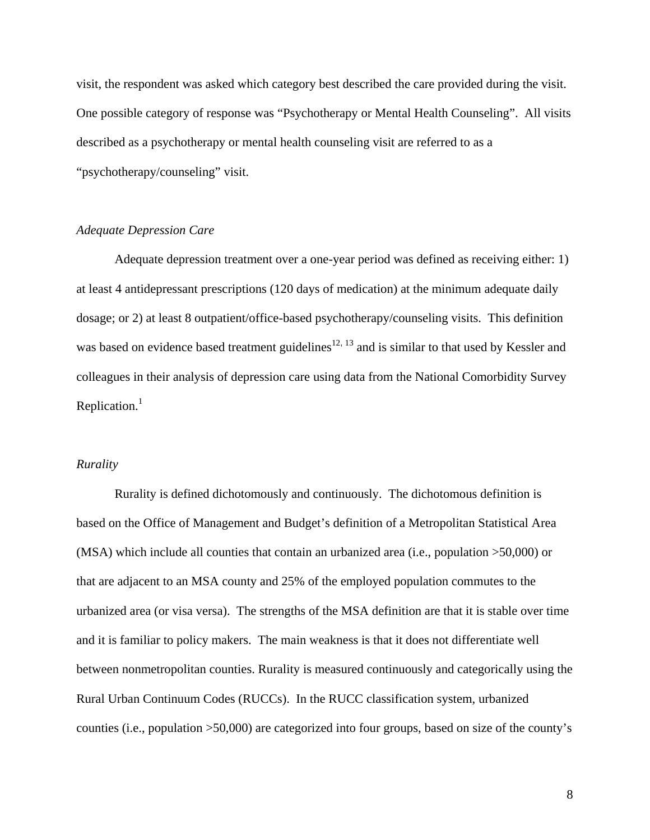visit, the respondent was asked which category best described the care provided during the visit. One possible category of response was "Psychotherapy or Mental Health Counseling". All visits described as a psychotherapy or mental health counseling visit are referred to as a "psychotherapy/counseling" visit.

# *Adequate Depression Care*

 Adequate depression treatment over a one-year period was defined as receiving either: 1) at least 4 antidepressant prescriptions (120 days of medication) at the minimum adequate daily dosage; or 2) at least 8 outpatient/office-based psychotherapy/counseling visits. This definition was based on evidence based treatment guidelines<sup>12, 13</sup> and is similar to that used by Kessler and colleagues in their analysis of depression care using data from the National Comorbidity Survey Replication. $<sup>1</sup>$ </sup>

#### *Rurality*

Rurality is defined dichotomously and continuously. The dichotomous definition is based on the Office of Management and Budget's definition of a Metropolitan Statistical Area (MSA) which include all counties that contain an urbanized area (i.e., population >50,000) or that are adjacent to an MSA county and 25% of the employed population commutes to the urbanized area (or visa versa). The strengths of the MSA definition are that it is stable over time and it is familiar to policy makers. The main weakness is that it does not differentiate well between nonmetropolitan counties. Rurality is measured continuously and categorically using the Rural Urban Continuum Codes (RUCCs). In the RUCC classification system, urbanized counties (i.e., population >50,000) are categorized into four groups, based on size of the county's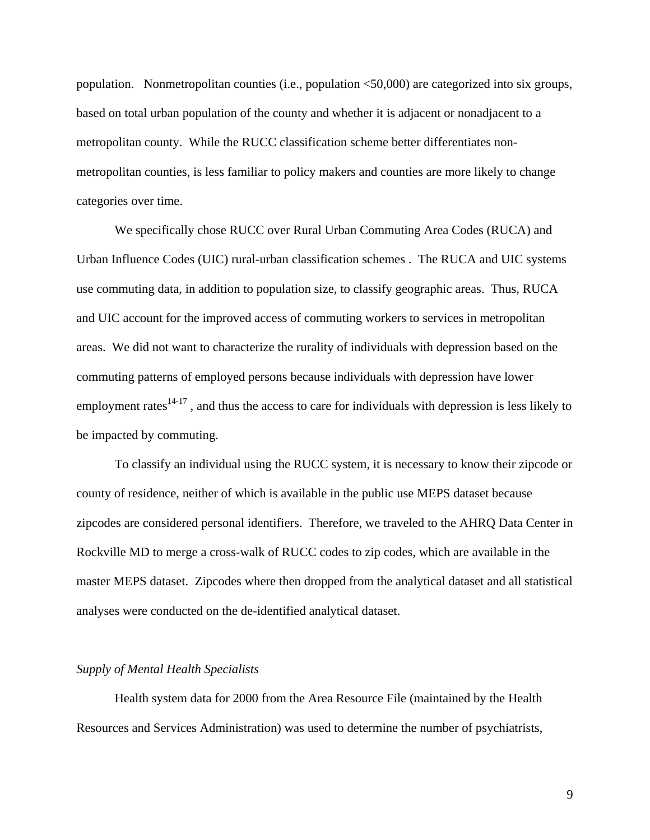population. Nonmetropolitan counties (i.e., population <50,000) are categorized into six groups, based on total urban population of the county and whether it is adjacent or nonadjacent to a metropolitan county. While the RUCC classification scheme better differentiates nonmetropolitan counties, is less familiar to policy makers and counties are more likely to change categories over time.

We specifically chose RUCC over Rural Urban Commuting Area Codes (RUCA) and Urban Influence Codes (UIC) rural-urban classification schemes . The RUCA and UIC systems use commuting data, in addition to population size, to classify geographic areas. Thus, RUCA and UIC account for the improved access of commuting workers to services in metropolitan areas. We did not want to characterize the rurality of individuals with depression based on the commuting patterns of employed persons because individuals with depression have lower employment rates $14-17$ , and thus the access to care for individuals with depression is less likely to be impacted by commuting.

To classify an individual using the RUCC system, it is necessary to know their zipcode or county of residence, neither of which is available in the public use MEPS dataset because zipcodes are considered personal identifiers. Therefore, we traveled to the AHRQ Data Center in Rockville MD to merge a cross-walk of RUCC codes to zip codes, which are available in the master MEPS dataset. Zipcodes where then dropped from the analytical dataset and all statistical analyses were conducted on the de-identified analytical dataset.

#### *Supply of Mental Health Specialists*

Health system data for 2000 from the Area Resource File (maintained by the Health Resources and Services Administration) was used to determine the number of psychiatrists,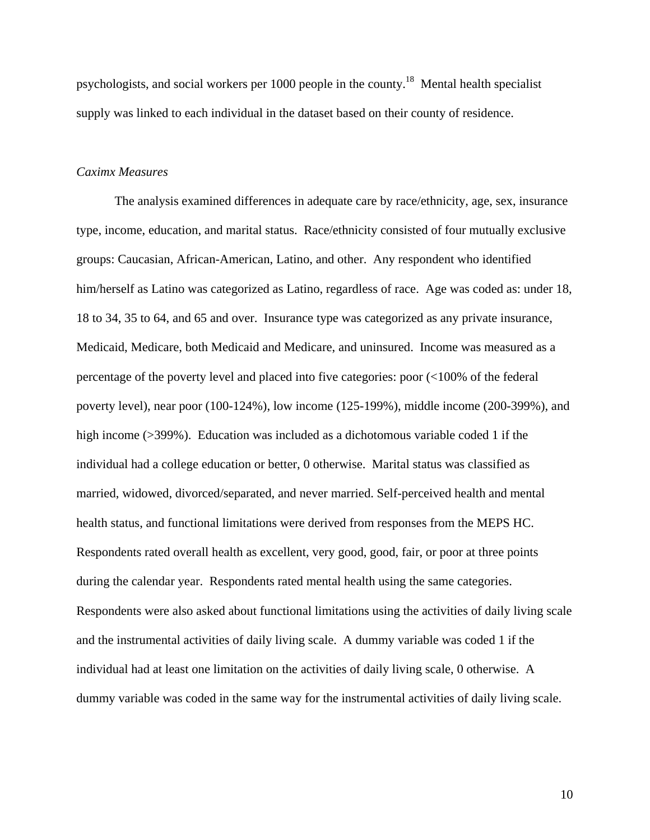psychologists, and social workers per 1000 people in the county.18 Mental health specialist supply was linked to each individual in the dataset based on their county of residence.

# *Caximx Measures*

 The analysis examined differences in adequate care by race/ethnicity, age, sex, insurance type, income, education, and marital status. Race/ethnicity consisted of four mutually exclusive groups: Caucasian, African-American, Latino, and other. Any respondent who identified him/herself as Latino was categorized as Latino, regardless of race. Age was coded as: under 18, 18 to 34, 35 to 64, and 65 and over. Insurance type was categorized as any private insurance, Medicaid, Medicare, both Medicaid and Medicare, and uninsured. Income was measured as a percentage of the poverty level and placed into five categories: poor (<100% of the federal poverty level), near poor (100-124%), low income (125-199%), middle income (200-399%), and high income (>399%). Education was included as a dichotomous variable coded 1 if the individual had a college education or better, 0 otherwise. Marital status was classified as married, widowed, divorced/separated, and never married. Self-perceived health and mental health status, and functional limitations were derived from responses from the MEPS HC. Respondents rated overall health as excellent, very good, good, fair, or poor at three points during the calendar year. Respondents rated mental health using the same categories. Respondents were also asked about functional limitations using the activities of daily living scale and the instrumental activities of daily living scale. A dummy variable was coded 1 if the individual had at least one limitation on the activities of daily living scale, 0 otherwise. A dummy variable was coded in the same way for the instrumental activities of daily living scale.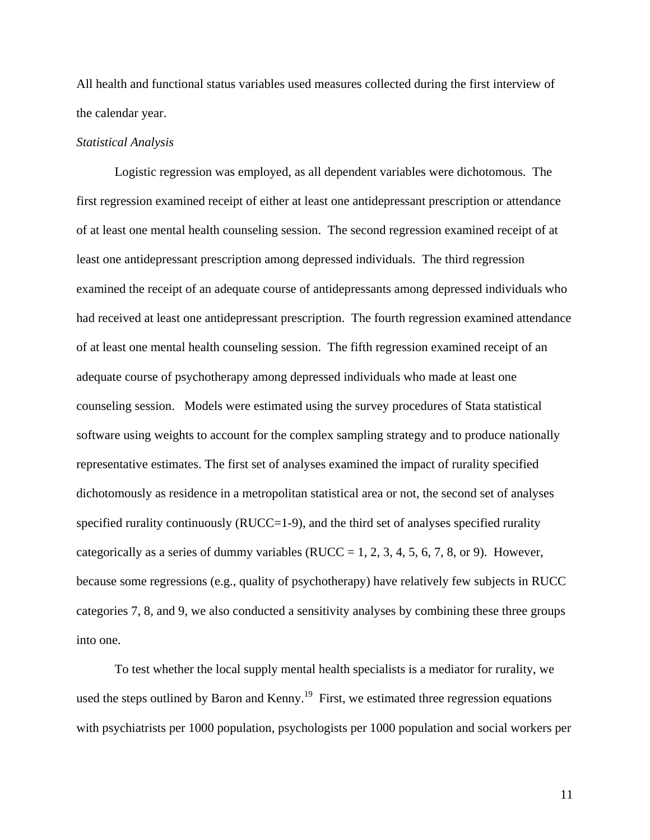All health and functional status variables used measures collected during the first interview of the calendar year.

#### *Statistical Analysis*

 Logistic regression was employed, as all dependent variables were dichotomous. The first regression examined receipt of either at least one antidepressant prescription or attendance of at least one mental health counseling session. The second regression examined receipt of at least one antidepressant prescription among depressed individuals. The third regression examined the receipt of an adequate course of antidepressants among depressed individuals who had received at least one antidepressant prescription. The fourth regression examined attendance of at least one mental health counseling session. The fifth regression examined receipt of an adequate course of psychotherapy among depressed individuals who made at least one counseling session. Models were estimated using the survey procedures of Stata statistical software using weights to account for the complex sampling strategy and to produce nationally representative estimates. The first set of analyses examined the impact of rurality specified dichotomously as residence in a metropolitan statistical area or not, the second set of analyses specified rurality continuously (RUCC=1-9), and the third set of analyses specified rurality categorically as a series of dummy variables (RUCC = 1, 2, 3, 4, 5, 6, 7, 8, or 9). However, because some regressions (e.g., quality of psychotherapy) have relatively few subjects in RUCC categories 7, 8, and 9, we also conducted a sensitivity analyses by combining these three groups into one.

 To test whether the local supply mental health specialists is a mediator for rurality, we used the steps outlined by Baron and Kenny.<sup>19</sup> First, we estimated three regression equations with psychiatrists per 1000 population, psychologists per 1000 population and social workers per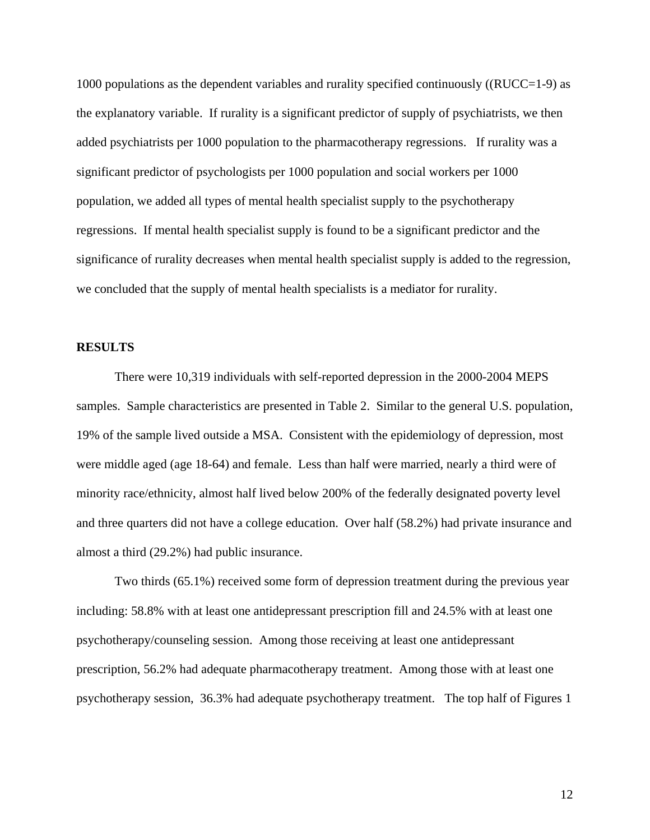1000 populations as the dependent variables and rurality specified continuously (( $\text{RUCC}=1-9$ ) as the explanatory variable. If rurality is a significant predictor of supply of psychiatrists, we then added psychiatrists per 1000 population to the pharmacotherapy regressions. If rurality was a significant predictor of psychologists per 1000 population and social workers per 1000 population, we added all types of mental health specialist supply to the psychotherapy regressions. If mental health specialist supply is found to be a significant predictor and the significance of rurality decreases when mental health specialist supply is added to the regression, we concluded that the supply of mental health specialists is a mediator for rurality.

## **RESULTS**

 There were 10,319 individuals with self-reported depression in the 2000-2004 MEPS samples. Sample characteristics are presented in Table 2. Similar to the general U.S. population, 19% of the sample lived outside a MSA. Consistent with the epidemiology of depression, most were middle aged (age 18-64) and female. Less than half were married, nearly a third were of minority race/ethnicity, almost half lived below 200% of the federally designated poverty level and three quarters did not have a college education. Over half (58.2%) had private insurance and almost a third (29.2%) had public insurance.

Two thirds (65.1%) received some form of depression treatment during the previous year including: 58.8% with at least one antidepressant prescription fill and 24.5% with at least one psychotherapy/counseling session. Among those receiving at least one antidepressant prescription, 56.2% had adequate pharmacotherapy treatment. Among those with at least one psychotherapy session, 36.3% had adequate psychotherapy treatment. The top half of Figures 1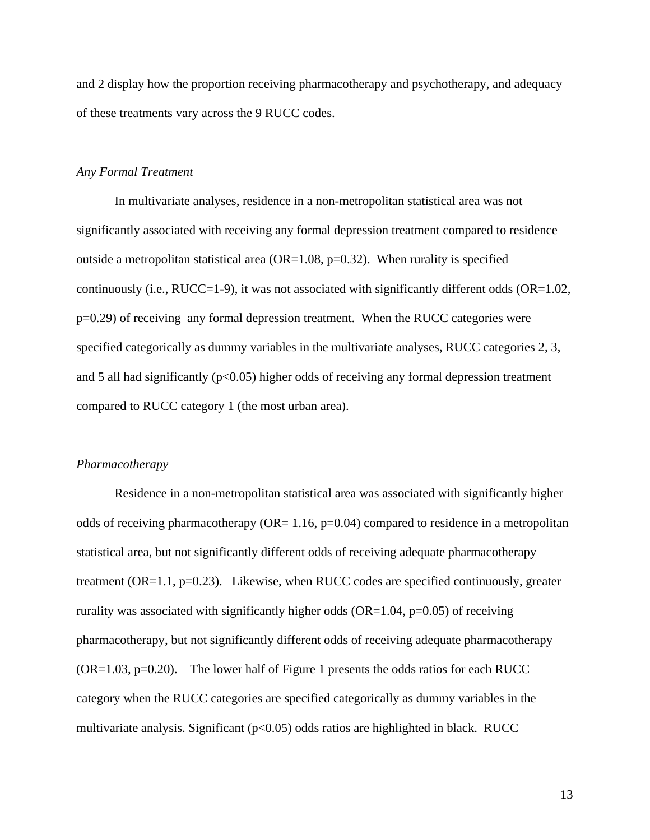and 2 display how the proportion receiving pharmacotherapy and psychotherapy, and adequacy of these treatments vary across the 9 RUCC codes.

#### *Any Formal Treatment*

In multivariate analyses, residence in a non-metropolitan statistical area was not significantly associated with receiving any formal depression treatment compared to residence outside a metropolitan statistical area (OR=1.08,  $p=0.32$ ). When rurality is specified continuously (i.e., RUCC=1-9), it was not associated with significantly different odds (OR=1.02, p=0.29) of receiving any formal depression treatment. When the RUCC categories were specified categorically as dummy variables in the multivariate analyses, RUCC categories 2, 3, and 5 all had significantly  $(p<0.05)$  higher odds of receiving any formal depression treatment compared to RUCC category 1 (the most urban area).

#### *Pharmacotherapy*

Residence in a non-metropolitan statistical area was associated with significantly higher odds of receiving pharmacotherapy ( $OR = 1.16$ , p=0.04) compared to residence in a metropolitan statistical area, but not significantly different odds of receiving adequate pharmacotherapy treatment (OR=1.1, p=0.23). Likewise, when RUCC codes are specified continuously, greater rurality was associated with significantly higher odds  $(OR=1.04, p=0.05)$  of receiving pharmacotherapy, but not significantly different odds of receiving adequate pharmacotherapy  $(OR=1.03, p=0.20)$ . The lower half of Figure 1 presents the odds ratios for each RUCC category when the RUCC categories are specified categorically as dummy variables in the multivariate analysis. Significant  $(p<0.05)$  odds ratios are highlighted in black. RUCC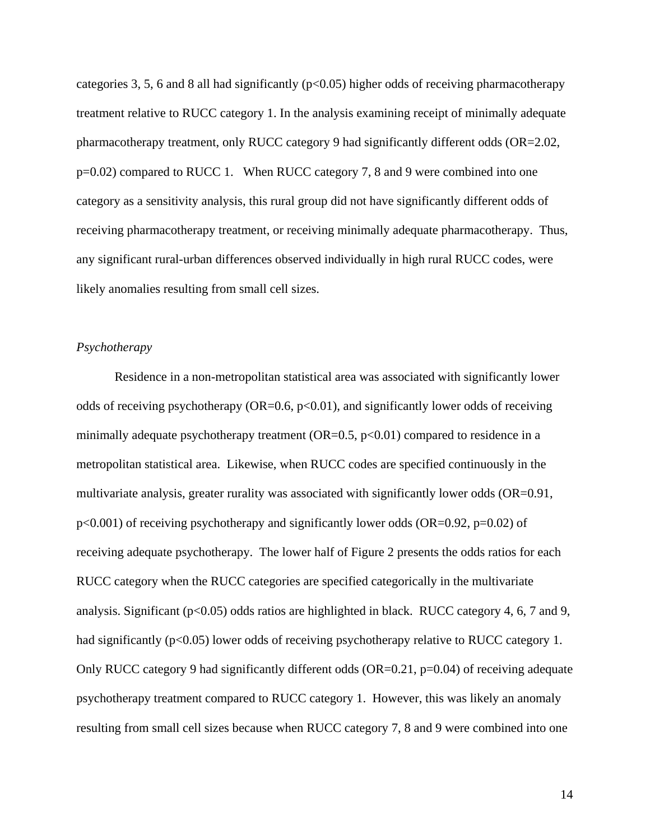categories 3, 5, 6 and 8 all had significantly  $(p<0.05)$  higher odds of receiving pharmacotherapy treatment relative to RUCC category 1. In the analysis examining receipt of minimally adequate pharmacotherapy treatment, only RUCC category 9 had significantly different odds (OR=2.02, p=0.02) compared to RUCC 1. When RUCC category 7, 8 and 9 were combined into one category as a sensitivity analysis, this rural group did not have significantly different odds of receiving pharmacotherapy treatment, or receiving minimally adequate pharmacotherapy. Thus, any significant rural-urban differences observed individually in high rural RUCC codes, were likely anomalies resulting from small cell sizes.

# *Psychotherapy*

Residence in a non-metropolitan statistical area was associated with significantly lower odds of receiving psychotherapy (OR=0.6,  $p<0.01$ ), and significantly lower odds of receiving minimally adequate psychotherapy treatment  $(OR=0.5, p<0.01)$  compared to residence in a metropolitan statistical area. Likewise, when RUCC codes are specified continuously in the multivariate analysis, greater rurality was associated with significantly lower odds (OR=0.91,  $p<0.001$ ) of receiving psychotherapy and significantly lower odds (OR=0.92,  $p=0.02$ ) of receiving adequate psychotherapy. The lower half of Figure 2 presents the odds ratios for each RUCC category when the RUCC categories are specified categorically in the multivariate analysis. Significant ( $p<0.05$ ) odds ratios are highlighted in black. RUCC category 4, 6, 7 and 9, had significantly (p<0.05) lower odds of receiving psychotherapy relative to RUCC category 1. Only RUCC category 9 had significantly different odds (OR=0.21,  $p=0.04$ ) of receiving adequate psychotherapy treatment compared to RUCC category 1. However, this was likely an anomaly resulting from small cell sizes because when RUCC category 7, 8 and 9 were combined into one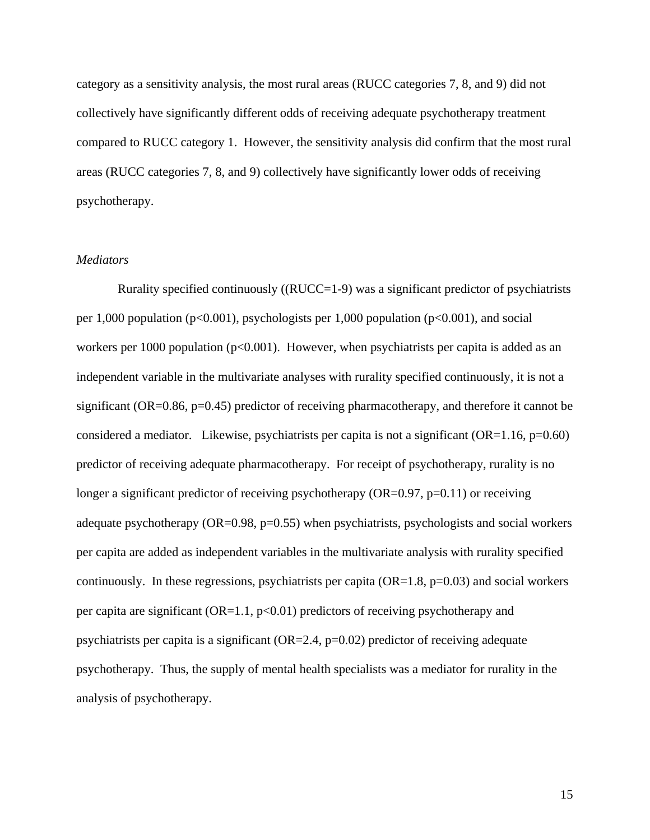category as a sensitivity analysis, the most rural areas (RUCC categories 7, 8, and 9) did not collectively have significantly different odds of receiving adequate psychotherapy treatment compared to RUCC category 1. However, the sensitivity analysis did confirm that the most rural areas (RUCC categories 7, 8, and 9) collectively have significantly lower odds of receiving psychotherapy.

## *Mediators*

 Rurality specified continuously ((RUCC=1-9) was a significant predictor of psychiatrists per 1,000 population (p<0.001), psychologists per 1,000 population (p<0.001), and social workers per 1000 population ( $p<0.001$ ). However, when psychiatrists per capita is added as an independent variable in the multivariate analyses with rurality specified continuously, it is not a significant (OR=0.86, p=0.45) predictor of receiving pharmacotherapy, and therefore it cannot be considered a mediator. Likewise, psychiatrists per capita is not a significant  $(OR=1.16, p=0.60)$ predictor of receiving adequate pharmacotherapy. For receipt of psychotherapy, rurality is no longer a significant predictor of receiving psychotherapy ( $OR=0.97$ ,  $p=0.11$ ) or receiving adequate psychotherapy (OR=0.98, p=0.55) when psychiatrists, psychologists and social workers per capita are added as independent variables in the multivariate analysis with rurality specified continuously. In these regressions, psychiatrists per capita  $(OR=1.8, p=0.03)$  and social workers per capita are significant  $(OR=1.1, p<0.01)$  predictors of receiving psychotherapy and psychiatrists per capita is a significant (OR=2.4, p=0.02) predictor of receiving adequate psychotherapy. Thus, the supply of mental health specialists was a mediator for rurality in the analysis of psychotherapy.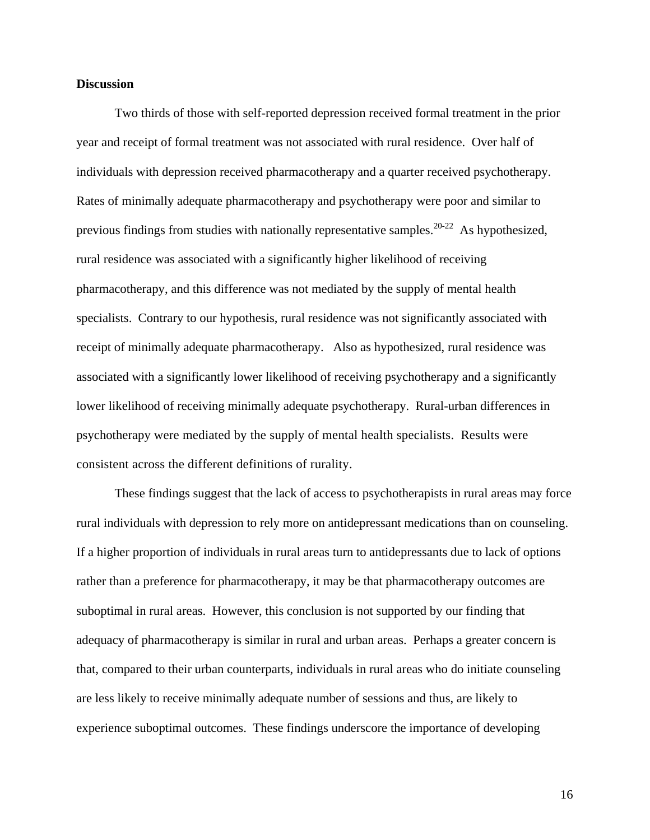#### **Discussion**

 Two thirds of those with self-reported depression received formal treatment in the prior year and receipt of formal treatment was not associated with rural residence. Over half of individuals with depression received pharmacotherapy and a quarter received psychotherapy. Rates of minimally adequate pharmacotherapy and psychotherapy were poor and similar to previous findings from studies with nationally representative samples.<sup>20-22</sup> As hypothesized, rural residence was associated with a significantly higher likelihood of receiving pharmacotherapy, and this difference was not mediated by the supply of mental health specialists. Contrary to our hypothesis, rural residence was not significantly associated with receipt of minimally adequate pharmacotherapy. Also as hypothesized, rural residence was associated with a significantly lower likelihood of receiving psychotherapy and a significantly lower likelihood of receiving minimally adequate psychotherapy. Rural-urban differences in psychotherapy were mediated by the supply of mental health specialists. Results were consistent across the different definitions of rurality.

 These findings suggest that the lack of access to psychotherapists in rural areas may force rural individuals with depression to rely more on antidepressant medications than on counseling. If a higher proportion of individuals in rural areas turn to antidepressants due to lack of options rather than a preference for pharmacotherapy, it may be that pharmacotherapy outcomes are suboptimal in rural areas. However, this conclusion is not supported by our finding that adequacy of pharmacotherapy is similar in rural and urban areas. Perhaps a greater concern is that, compared to their urban counterparts, individuals in rural areas who do initiate counseling are less likely to receive minimally adequate number of sessions and thus, are likely to experience suboptimal outcomes. These findings underscore the importance of developing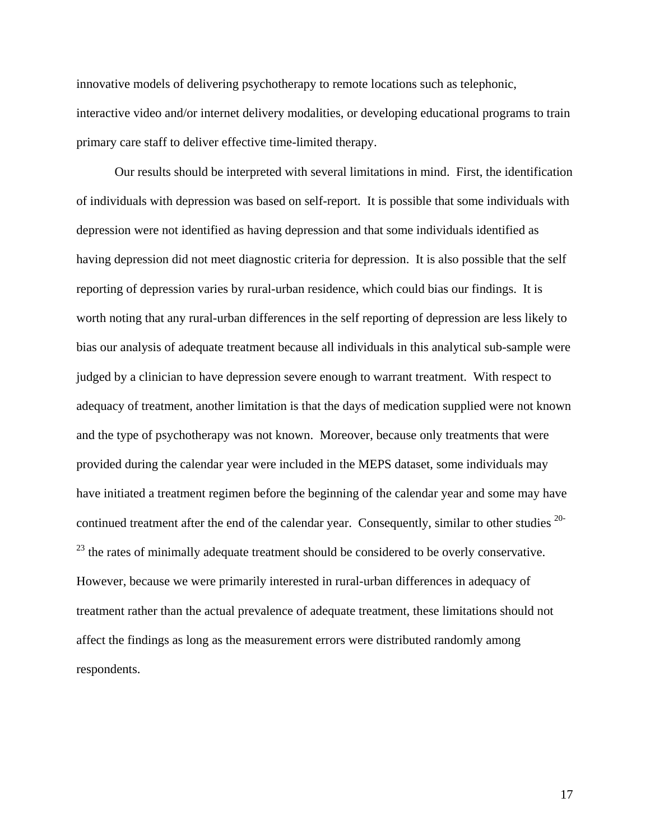innovative models of delivering psychotherapy to remote locations such as telephonic, interactive video and/or internet delivery modalities, or developing educational programs to train primary care staff to deliver effective time-limited therapy.

Our results should be interpreted with several limitations in mind. First, the identification of individuals with depression was based on self-report. It is possible that some individuals with depression were not identified as having depression and that some individuals identified as having depression did not meet diagnostic criteria for depression. It is also possible that the self reporting of depression varies by rural-urban residence, which could bias our findings. It is worth noting that any rural-urban differences in the self reporting of depression are less likely to bias our analysis of adequate treatment because all individuals in this analytical sub-sample were judged by a clinician to have depression severe enough to warrant treatment. With respect to adequacy of treatment, another limitation is that the days of medication supplied were not known and the type of psychotherapy was not known. Moreover, because only treatments that were provided during the calendar year were included in the MEPS dataset, some individuals may have initiated a treatment regimen before the beginning of the calendar year and some may have continued treatment after the end of the calendar year. Consequently, similar to other studies <sup>20-</sup>  $^{23}$  the rates of minimally adequate treatment should be considered to be overly conservative. However, because we were primarily interested in rural-urban differences in adequacy of treatment rather than the actual prevalence of adequate treatment, these limitations should not affect the findings as long as the measurement errors were distributed randomly among respondents.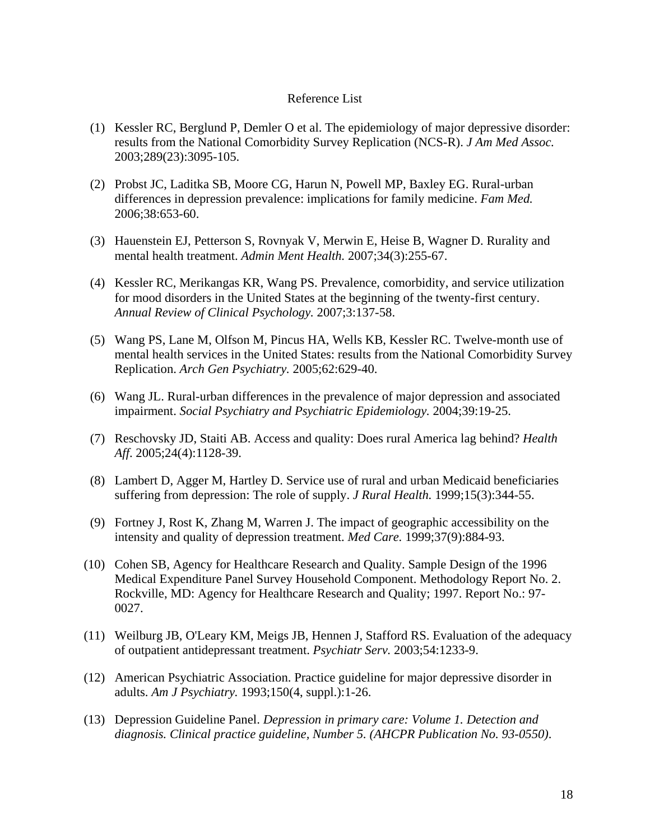# Reference List

- (1) Kessler RC, Berglund P, Demler O et al. The epidemiology of major depressive disorder: results from the National Comorbidity Survey Replication (NCS-R). *J Am Med Assoc.* 2003;289(23):3095-105.
- (2) Probst JC, Laditka SB, Moore CG, Harun N, Powell MP, Baxley EG. Rural-urban differences in depression prevalence: implications for family medicine. *Fam Med.* 2006;38:653-60.
- (3) Hauenstein EJ, Petterson S, Rovnyak V, Merwin E, Heise B, Wagner D. Rurality and mental health treatment. *Admin Ment Health.* 2007;34(3):255-67.
- (4) Kessler RC, Merikangas KR, Wang PS. Prevalence, comorbidity, and service utilization for mood disorders in the United States at the beginning of the twenty-first century. *Annual Review of Clinical Psychology.* 2007;3:137-58.
- (5) Wang PS, Lane M, Olfson M, Pincus HA, Wells KB, Kessler RC. Twelve-month use of mental health services in the United States: results from the National Comorbidity Survey Replication. *Arch Gen Psychiatry.* 2005;62:629-40.
- (6) Wang JL. Rural-urban differences in the prevalence of major depression and associated impairment. *Social Psychiatry and Psychiatric Epidemiology.* 2004;39:19-25.
- (7) Reschovsky JD, Staiti AB. Access and quality: Does rural America lag behind? *Health Aff*. 2005;24(4):1128-39.
- (8) Lambert D, Agger M, Hartley D. Service use of rural and urban Medicaid beneficiaries suffering from depression: The role of supply. *J Rural Health.* 1999;15(3):344-55.
- (9) Fortney J, Rost K, Zhang M, Warren J. The impact of geographic accessibility on the intensity and quality of depression treatment. *Med Care.* 1999;37(9):884-93.
- (10) Cohen SB, Agency for Healthcare Research and Quality. Sample Design of the 1996 Medical Expenditure Panel Survey Household Component. Methodology Report No. 2. Rockville, MD: Agency for Healthcare Research and Quality; 1997. Report No.: 97- 0027.
- (11) Weilburg JB, O'Leary KM, Meigs JB, Hennen J, Stafford RS. Evaluation of the adequacy of outpatient antidepressant treatment. *Psychiatr Serv.* 2003;54:1233-9.
- (12) American Psychiatric Association. Practice guideline for major depressive disorder in adults. *Am J Psychiatry.* 1993;150(4, suppl.):1-26.
- (13) Depression Guideline Panel. *Depression in primary care: Volume 1. Detection and diagnosis. Clinical practice guideline, Number 5. (AHCPR Publication No. 93-0550)*.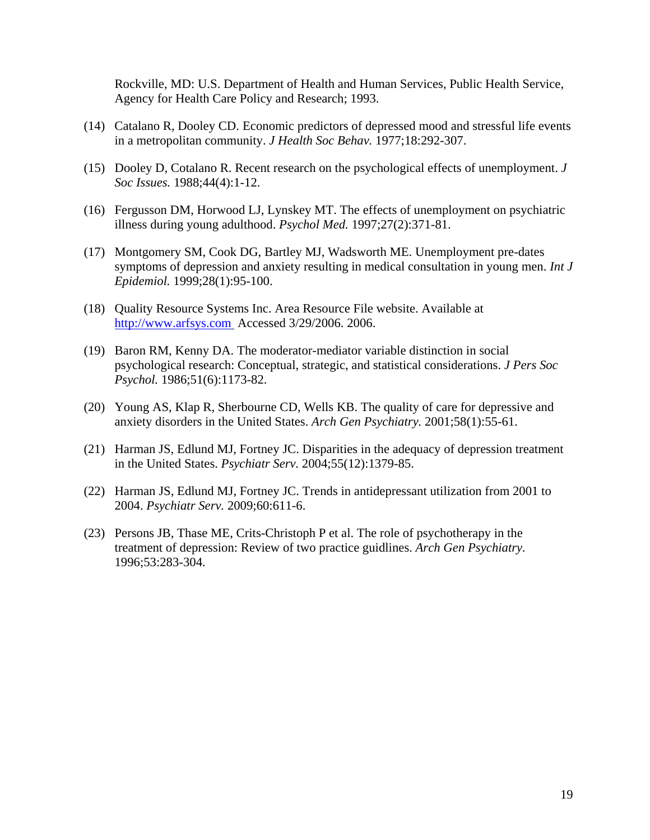Rockville, MD: U.S. Department of Health and Human Services, Public Health Service, Agency for Health Care Policy and Research; 1993.

- (14) Catalano R, Dooley CD. Economic predictors of depressed mood and stressful life events in a metropolitan community. *J Health Soc Behav.* 1977;18:292-307.
- (15) Dooley D, Cotalano R. Recent research on the psychological effects of unemployment. *J Soc Issues.* 1988;44(4):1-12.
- (16) Fergusson DM, Horwood LJ, Lynskey MT. The effects of unemployment on psychiatric illness during young adulthood. *Psychol Med.* 1997;27(2):371-81.
- (17) Montgomery SM, Cook DG, Bartley MJ, Wadsworth ME. Unemployment pre-dates symptoms of depression and anxiety resulting in medical consultation in young men. *Int J Epidemiol.* 1999;28(1):95-100.
- (18) Quality Resource Systems Inc. Area Resource File website. Available at [http://www.arfsys.com](http://www.arfsys.com/) Accessed 3/29/2006. 2006.
- (19) Baron RM, Kenny DA. The moderator-mediator variable distinction in social psychological research: Conceptual, strategic, and statistical considerations. *J Pers Soc Psychol.* 1986;51(6):1173-82.
- (20) Young AS, Klap R, Sherbourne CD, Wells KB. The quality of care for depressive and anxiety disorders in the United States. *Arch Gen Psychiatry.* 2001;58(1):55-61.
- (21) Harman JS, Edlund MJ, Fortney JC. Disparities in the adequacy of depression treatment in the United States. *Psychiatr Serv.* 2004;55(12):1379-85.
- (22) Harman JS, Edlund MJ, Fortney JC. Trends in antidepressant utilization from 2001 to 2004. *Psychiatr Serv.* 2009;60:611-6.
- (23) Persons JB, Thase ME, Crits-Christoph P et al. The role of psychotherapy in the treatment of depression: Review of two practice guidlines. *Arch Gen Psychiatry.* 1996;53:283-304.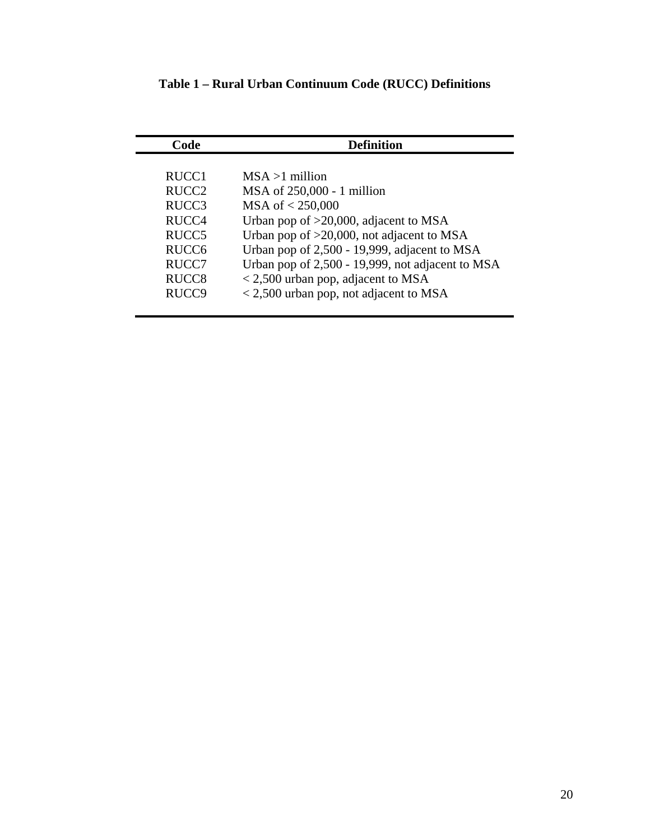| Code              | <b>Definition</b>                                   |  |
|-------------------|-----------------------------------------------------|--|
|                   |                                                     |  |
| RUCC1             | $MSA >1$ million                                    |  |
| RUCC <sub>2</sub> | MSA of 250,000 - 1 million                          |  |
| RUCC <sub>3</sub> | MSA of < 250,000                                    |  |
| RUCC4             | Urban pop of $>20,000$ , adjacent to MSA            |  |
| RUCC <sub>5</sub> | Urban pop of >20,000, not adjacent to MSA           |  |
| RUCC <sub>6</sub> | Urban pop of 2,500 - 19,999, adjacent to MSA        |  |
| RUCC7             | Urban pop of 2,500 - 19,999, not adjacent to MSA    |  |
| RUCC <sub>8</sub> | $\langle 2, 500 \rangle$ urban pop, adjacent to MSA |  |
| RUCC <sub>9</sub> | < 2,500 urban pop, not adjacent to MSA              |  |
|                   |                                                     |  |

**Table 1 – Rural Urban Continuum Code (RUCC) Definitions**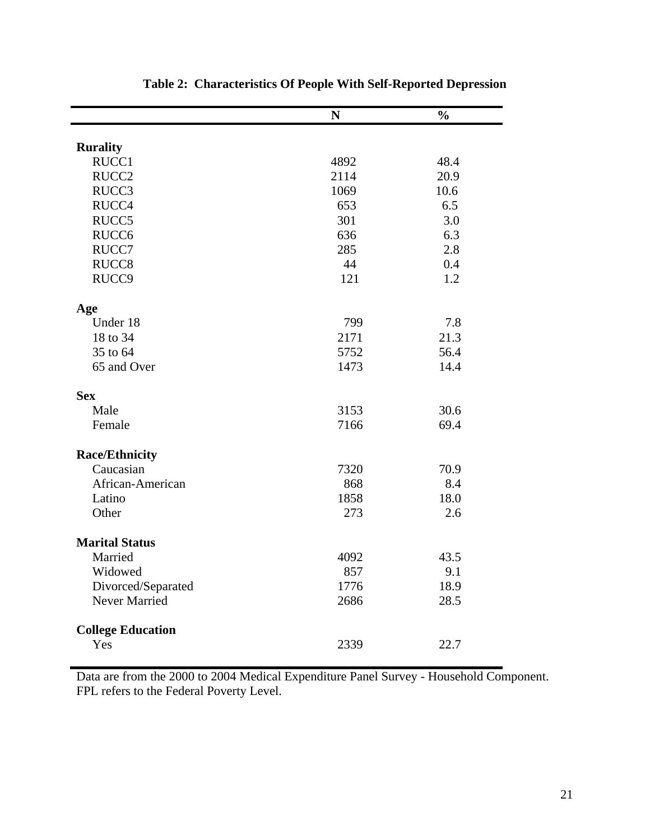|                          | N    | $\overline{\frac{0}{0}}$ |
|--------------------------|------|--------------------------|
|                          |      |                          |
| <b>Rurality</b>          |      |                          |
| RUCC1                    | 4892 | 48.4                     |
| RUCC <sub>2</sub>        | 2114 | 20.9                     |
| RUCC3                    | 1069 | 10.6                     |
| RUCC4                    | 653  | 6.5                      |
| RUCC5                    | 301  | 3.0                      |
| RUCC <sub>6</sub>        | 636  | 6.3                      |
| RUCC7                    | 285  | 2.8                      |
| RUCC <sub>8</sub>        | 44   | 0.4                      |
| RUCC9                    | 121  | 1.2                      |
| Age                      |      |                          |
| Under 18                 | 799  | 7.8                      |
| 18 to 34                 | 2171 | 21.3                     |
| 35 to 64                 | 5752 | 56.4                     |
| 65 and Over              | 1473 | 14.4                     |
| <b>Sex</b>               |      |                          |
| Male                     | 3153 | 30.6                     |
| Female                   | 7166 | 69.4                     |
| <b>Race/Ethnicity</b>    |      |                          |
| Caucasian                | 7320 | 70.9                     |
| African-American         | 868  | 8.4                      |
| Latino                   | 1858 | 18.0                     |
| Other                    | 273  | 2.6                      |
| <b>Marital Status</b>    |      |                          |
| Married                  | 4092 | 43.5                     |
| Widowed                  | 857  | 9.1                      |
| Divorced/Separated       | 1776 | 18.9                     |
| <b>Never Married</b>     | 2686 | 28.5                     |
| <b>College Education</b> |      |                          |
| Yes                      | 2339 | 22.7                     |

| <b>Table 2: Characteristics Of People With Self-Reported Depression</b> |  |  |
|-------------------------------------------------------------------------|--|--|
|-------------------------------------------------------------------------|--|--|

Data are from the 2000 to 2004 Medical Expenditure Panel Survey - Household Component. FPL refers to the Federal Poverty Level.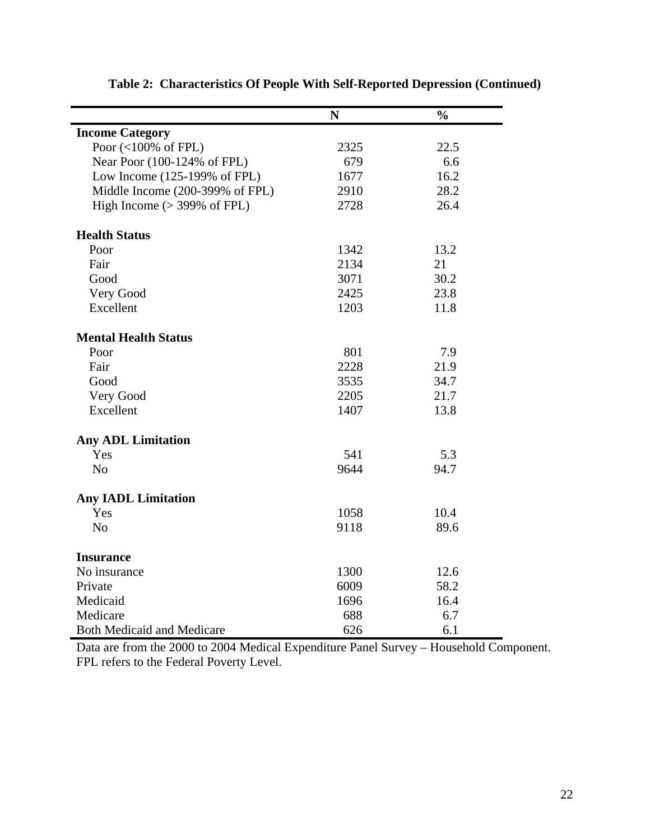|                                         | $\mathbf N$ | $\frac{0}{0}$ |
|-----------------------------------------|-------------|---------------|
| <b>Income Category</b>                  |             |               |
| Poor $(<100\%$ of FPL)                  | 2325        | 22.5          |
| Near Poor (100-124% of FPL)             | 679         | 6.6           |
| Low Income $(125-199\% \text{ of FPL})$ | 1677        | 16.2          |
| Middle Income (200-399% of FPL)         | 2910        | 28.2          |
| High Income $(>399\%$ of FPL)           | 2728        | 26.4          |
| <b>Health Status</b>                    |             |               |
| Poor                                    | 1342        | 13.2          |
| Fair                                    | 2134        | 21            |
| Good                                    | 3071        | 30.2          |
| Very Good                               | 2425        | 23.8          |
| Excellent                               | 1203        | 11.8          |
| <b>Mental Health Status</b>             |             |               |
| Poor                                    | 801         | 7.9           |
| Fair                                    | 2228        | 21.9          |
| Good                                    | 3535        | 34.7          |
| Very Good                               | 2205        | 21.7          |
| Excellent                               | 1407        | 13.8          |
| <b>Any ADL Limitation</b>               |             |               |
| Yes                                     | 541         | 5.3           |
| N <sub>o</sub>                          | 9644        | 94.7          |
| <b>Any IADL Limitation</b>              |             |               |
| Yes                                     | 1058        | 10.4          |
| N <sub>o</sub>                          | 9118        | 89.6          |
| <b>Insurance</b>                        |             |               |
| No insurance                            | 1300        | 12.6          |
| Private                                 | 6009        | 58.2          |
| Medicaid                                | 1696        | 16.4          |
| Medicare                                | 688         | 6.7           |
| <b>Both Medicaid and Medicare</b>       | 626         | 6.1           |

**Table 2: Characteristics Of People With Self-Reported Depression (Continued)** 

Data are from the 2000 to 2004 Medical Expenditure Panel Survey – Household Component. FPL refers to the Federal Poverty Level.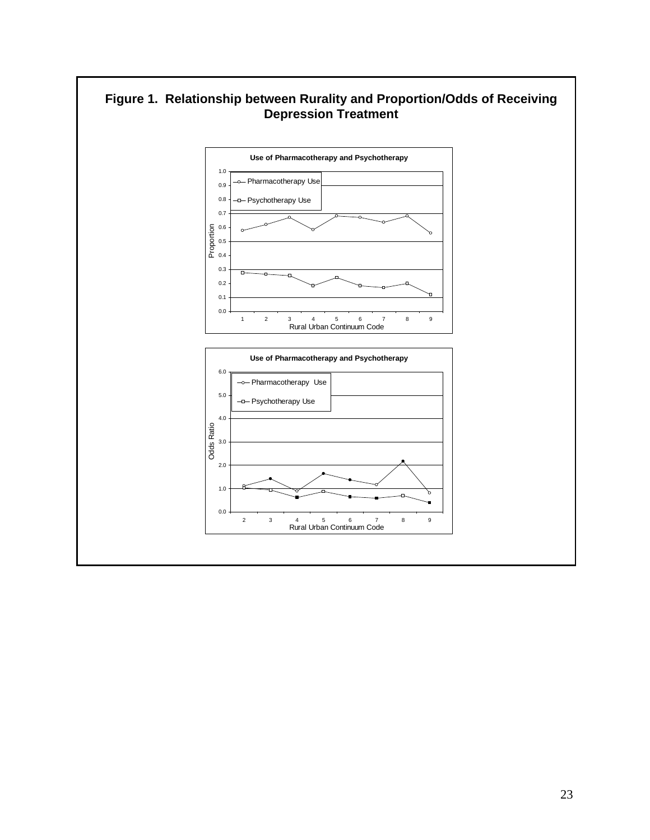